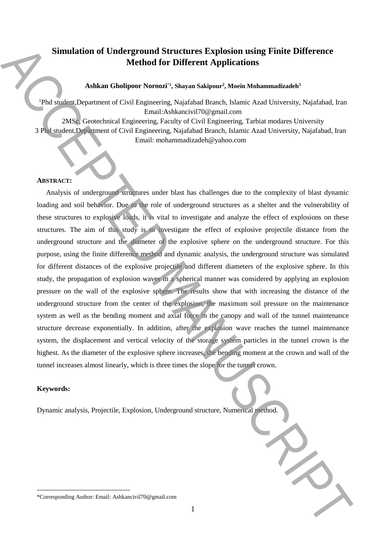# **Simulation of Underground Structures Explosion using Finite Difference Method for Different Applications**

## **Ashkan Gholipoor Noroozi**\***<sup>1</sup> , Shayan Sakipour<sup>2</sup> , Moein Mohammadizadeh<sup>3</sup>**

<sup>1</sup>Phd student,Department of Civil Engineering, Najafabad Branch, Islamic Azad University, Najafabad, Iran Email:Ashkancivil70@gmail.com

2MSc, Geotechnical Engineering, Faculty of Civil Engineering, Tarbiat modares University 3 Phd student,Department of Civil Engineering, Najafabad Branch, Islamic Azad University, Najafabad, Iran Email: mohammadizadeh@yahoo.com

# **ABSTRACT:**

Analysis of underground structures under blast has challenges due to the complexity of blast dynamic loading and soil behavior. Due to the role of underground structures as a shelter and the vulnerability of these structures to explosive loads, it is vital to investigate and analyze the effect of explosions on these structures. The aim of this study is to investigate the effect of explosive projectile distance from the underground structure and the diameter of the explosive sphere on the underground structure. For this purpose, using the finite difference method and dynamic analysis, the underground structure was simulated for different distances of the explosive projectile and different diameters of the explosive sphere. In this study, the propagation of explosion waves in a spherical manner was considered by applying an explosion pressure on the wall of the explosive sphere. The results show that with increasing the distance of the underground structure from the center of the explosion, the maximum soil pressure on the maintenance system as well as the bending moment and axial force in the canopy and wall of the tunnel maintenance structure decrease exponentially. In addition, after the explosion wave reaches the tunnel maintenance system, the displacement and vertical velocity of the storage system particles in the tunnel crown is the highest. As the diameter of the explosive sphere increases, the bending moment at the crown and wall of the tunnel increases almost linearly, which is three times the slope for the tunnel crown. Simulation of Underground Structures Exploration using Finite Difference<br>Adden ColeMons To Different Applications<br>Adden ColeMons Newster, Associated Handels Manuscript Automobile and Automobile Corresponding Automobile Re

## **Keywords:**

 $\overline{a}$ 

Dynamic analysis, Projectile, Explosion, Underground structure, Numerical method.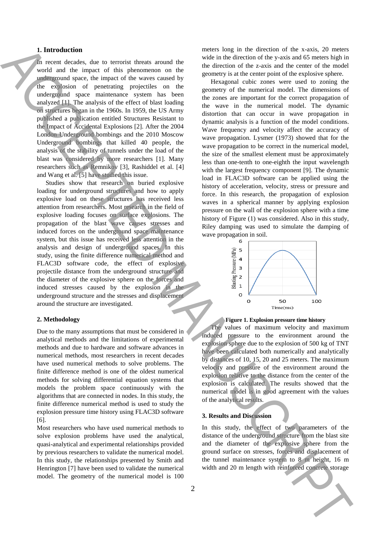#### **1. Introduction**

In recent decades, due to terrorist threats around the world and the impact of this phenomenon on the underground space, the impact of the waves caused by the explosion of penetrating projectiles on the underground space maintenance system has been analyzed [1]. The analysis of the effect of blast loading on structures began in the 1960s. In 1959, the US Army published a publication entitled Structures Resistant to the Impact of Accidental Explosions [2]. After the 2004 London Underground bombings and the 2010 Moscow Underground bombings that killed 40 people, the analysis of the stability of tunnels under the load of the blast was considered by more researchers [1]. Many researchers such as Remnikov [3], Rashiddel et al. [4] and Wang et al. [5] have studied this issue.

Studies show that research on buried explosive loading for underground structures and how to apply explosive load on these structures has received less attention from researchers. Most research in the field of explosive loading focuses on surface explosions. The propagation of the blast wave causes stresses and induced forces on the underground space maintenance system, but this issue has received less attention in the analysis and design of underground spaces. In this study, using the finite difference numerical method and FLAC3D software code, the effect of explosive projectile distance from the underground structure and the diameter of the explosive sphere on the forces and induced stresses caused by the explosion in the underground structure and the stresses and displacement around the structure are investigated.

#### **2. Methodology**

Due to the many assumptions that must be considered in analytical methods and the limitations of experimental methods and due to hardware and software advances in numerical methods, most researchers in recent decades have used numerical methods to solve problems. The finite difference method is one of the oldest numerical methods for solving differential equation systems that models the problem space continuously with the algorithms that are connected in nodes. In this study, the finite difference numerical method is used to study the explosion pressure time history using FLAC3D software [6].

Most researchers who have used numerical methods to solve explosion problems have used the analytical, quasi-analytical and experimental relationships provided by previous researchers to validate the numerical model. In this study, the relationships presented by Smith and Henrington [7] have been used to validate the numerical model. The geometry of the numerical model is 100 meters long in the direction of the x-axis, 20 meters wide in the direction of the y-axis and 65 meters high in the direction of the z-axis and the center of the model geometry is at the center point of the explosive sphere.

Hexagonal cubic zones were used to zoning the geometry of the numerical model. The dimensions of the zones are important for the correct propagation of the wave in the numerical model. The dynamic distortion that can occur in wave propagation in dynamic analysis is a function of the model conditions. Wave frequency and velocity affect the accuracy of wave propagation. Lysmer (1973) showed that for the wave propagation to be correct in the numerical model, the size of the smallest element must be approximately less than one-tenth to one-eighth the input wavelength with the largest frequency component [9]. The dynamic load in FLAC3D software can be applied using the history of acceleration, velocity, stress or pressure and force. In this research, the propagation of explosion waves in a spherical manner by applying explosion pressure on the wall of the explosion sphere with a time history of Figure (1) was considered. Also in this study, Riley damping was used to simulate the damping of wave propagation in soil. Interest of the base of the concrete storage and the storage of the storage ACCE is the concernent of the storage ACCE is the concrete storage ACCE is the concrete storage ACCE is the concrete storage ACCE is the concrete



**Figure 1. Explosion pressure time history**

The values of maximum velocity and maximum induced pressure to the environment around the explosion sphere due to the explosion of 500 kg of TNT have been calculated both numerically and analytically by distances of 10, 15, 20 and 25 meters. The maximum velocity and pressure of the environment around the explosion relative to the distance from the center of the explosion is calculated. The results showed that the numerical model is in good agreement with the values of the analytical results.

#### **3. Results and Discussion**

In this study, the effect of two parameters of the distance of the underground structure from the blast site and the diameter of the explosive sphere from the ground surface on stresses, forces and displacement of the tunnel maintenance system to 8 m height, 16 m